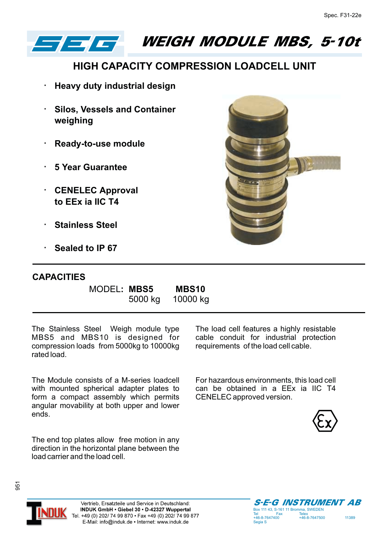

WEIGH MODULE MBS, 5-10t

## **HIGH CAPACITY COMPRESSION LOADCELL UNIT**

**Heavy duty industrial design**

**Silos, Vessels and Container weighing**

**Ready-to-use module**

**5 Year Guarantee**

**CENELEC Approval to EEx ia IIC T4**

**Stainless Steel**

**Sealed to IP 67**

## **CAPACITIES**

MODEL**: MBS5 MBS10**

5000 kg 10000 kg

The Stainless Steel Weigh module type MBS5 and MBS10 is designed for compression loads from 5000kg to 10000kg rated load.

The Module consists of a M-series loadcell with mounted spherical adapter plates to form a compact assembly which permits angular movability at both upper and lower ends.

The end top plates allow free motion in any direction in the horizontal plane between the load carrier and the load cell.

The load cell features a highly resistable cable conduit for industrial protection requirements of the load cell cable.

For hazardous environments, this load cell can be obtained in a EEx ia IIC T4 CENELEC approved version.





951